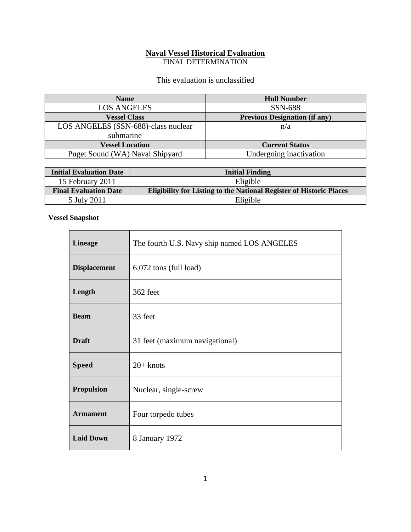## **Naval Vessel Historical Evaluation**

FINAL DETERMINATION

This evaluation is unclassified

| <b>Name</b>                         | <b>Hull Number</b>                   |
|-------------------------------------|--------------------------------------|
| <b>LOS ANGELES</b>                  | SSN-688                              |
| <b>Vessel Class</b>                 | <b>Previous Designation (if any)</b> |
| LOS ANGELES (SSN-688)-class nuclear | n/a                                  |
| submarine                           |                                      |
| <b>Vessel Location</b>              | <b>Current Status</b>                |
| Puget Sound (WA) Naval Shipyard     | Undergoing inactivation              |

| <b>Initial Evaluation Date</b> | <b>Initial Finding</b>                                                     |
|--------------------------------|----------------------------------------------------------------------------|
| 15 February 2011               | Eligible                                                                   |
| <b>Final Evaluation Date</b>   | <b>Eligibility for Listing to the National Register of Historic Places</b> |
| 5 July 2011                    | Eligible                                                                   |

## **Vessel Snapshot**

| <b>Lineage</b>      | The fourth U.S. Navy ship named LOS ANGELES |
|---------------------|---------------------------------------------|
| <b>Displacement</b> | $6,072$ tons (full load)                    |
| Length              | 362 feet                                    |
| <b>Beam</b>         | 33 feet                                     |
| <b>Draft</b>        | 31 feet (maximum navigational)              |
| <b>Speed</b>        | $20+$ knots                                 |
| <b>Propulsion</b>   | Nuclear, single-screw                       |
| <b>Armament</b>     | Four torpedo tubes                          |
| <b>Laid Down</b>    | 8 January 1972                              |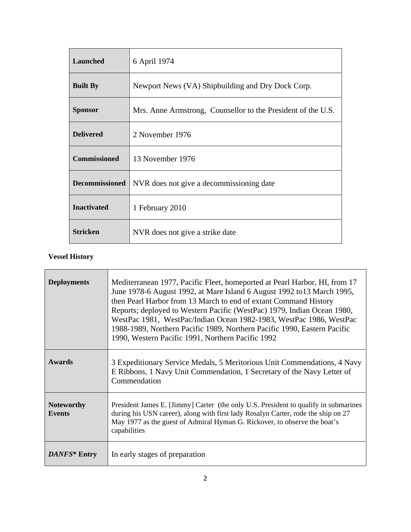| Launched              | 6 April 1974                                                 |
|-----------------------|--------------------------------------------------------------|
| <b>Built By</b>       | Newport News (VA) Shipbuilding and Dry Dock Corp.            |
| <b>Sponsor</b>        | Mrs. Anne Armstrong, Counsellor to the President of the U.S. |
| <b>Delivered</b>      | 2 November 1976                                              |
| <b>Commissioned</b>   | 13 November 1976                                             |
| <b>Decommissioned</b> | NVR does not give a decommissioning date                     |
| <b>Inactivated</b>    | 1 February 2010                                              |
| <b>Stricken</b>       | NVR does not give a strike date                              |

# **Vessel History**

| <b>Deployments</b>                 | Mediterranean 1977, Pacific Fleet, homeported at Pearl Harbor, HI, from 17<br>June 1978-6 August 1992, at Mare Island 6 August 1992 to 13 March 1995,<br>then Pearl Harbor from 13 March to end of extant Command History<br>Reports; deployed to Western Pacific (WestPac) 1979, Indian Ocean 1980,<br>WestPac 1981, WestPac/Indian Ocean 1982-1983, WestPac 1986, WestPac<br>1988-1989, Northern Pacific 1989, Northern Pacific 1990, Eastern Pacific<br>1990, Western Pacific 1991, Northern Pacific 1992 |
|------------------------------------|--------------------------------------------------------------------------------------------------------------------------------------------------------------------------------------------------------------------------------------------------------------------------------------------------------------------------------------------------------------------------------------------------------------------------------------------------------------------------------------------------------------|
| <b>Awards</b>                      | 3 Expeditionary Service Medals, 5 Meritorious Unit Commendations, 4 Navy<br>E Ribbons, 1 Navy Unit Commendation, 1 Secretary of the Navy Letter of<br>Commendation                                                                                                                                                                                                                                                                                                                                           |
| <b>Noteworthy</b><br><b>Events</b> | President James E. [Jimmy] Carter (the only U.S. President to qualify in submarines<br>during his USN career), along with first lady Rosalyn Carter, rode the ship on 27<br>May 1977 as the guest of Admiral Hyman G. Rickover, to observe the boat's<br>capabilities                                                                                                                                                                                                                                        |
| DANFS* Entry                       | In early stages of preparation                                                                                                                                                                                                                                                                                                                                                                                                                                                                               |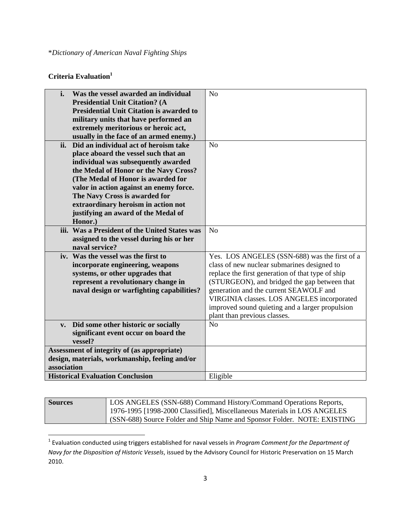## **Criteria Evaluation**<sup>1</sup>

| i.                                             | Was the vessel awarded an individual            | N <sub>o</sub>                                    |
|------------------------------------------------|-------------------------------------------------|---------------------------------------------------|
|                                                | <b>Presidential Unit Citation? (A</b>           |                                                   |
|                                                | <b>Presidential Unit Citation is awarded to</b> |                                                   |
|                                                | military units that have performed an           |                                                   |
|                                                | extremely meritorious or heroic act,            |                                                   |
|                                                | usually in the face of an armed enemy.)         |                                                   |
| ii.                                            | Did an individual act of heroism take           | No                                                |
|                                                | place aboard the vessel such that an            |                                                   |
|                                                | individual was subsequently awarded             |                                                   |
|                                                | the Medal of Honor or the Navy Cross?           |                                                   |
|                                                | (The Medal of Honor is awarded for              |                                                   |
|                                                | valor in action against an enemy force.         |                                                   |
|                                                | The Navy Cross is awarded for                   |                                                   |
|                                                | extraordinary heroism in action not             |                                                   |
|                                                | justifying an award of the Medal of             |                                                   |
|                                                | Honor.)                                         |                                                   |
|                                                | iii. Was a President of the United States was   | No                                                |
|                                                | assigned to the vessel during his or her        |                                                   |
|                                                | naval service?                                  |                                                   |
|                                                | iv. Was the vessel was the first to             | Yes. LOS ANGELES (SSN-688) was the first of a     |
|                                                | incorporate engineering, weapons                | class of new nuclear submarines designed to       |
|                                                | systems, or other upgrades that                 | replace the first generation of that type of ship |
|                                                | represent a revolutionary change in             | (STURGEON), and bridged the gap between that      |
|                                                | naval design or warfighting capabilities?       | generation and the current SEAWOLF and            |
|                                                |                                                 | VIRGINIA classes. LOS ANGELES incorporated        |
|                                                |                                                 | improved sound quieting and a larger propulsion   |
|                                                |                                                 | plant than previous classes.                      |
| $V_{\bullet}$                                  | Did some other historic or socially             | N <sub>0</sub>                                    |
|                                                | significant event occur on board the            |                                                   |
|                                                | vessel?                                         |                                                   |
|                                                | Assessment of integrity of (as appropriate)     |                                                   |
| design, materials, workmanship, feeling and/or |                                                 |                                                   |
| association                                    |                                                 |                                                   |
|                                                | <b>Historical Evaluation Conclusion</b>         | Eligible                                          |

| <b>Sources</b> | LOS ANGELES (SSN-688) Command History/Command Operations Reports,<br>  1976-1995 [1998-2000 Classified], Miscellaneous Materials in LOS ANGELES |  |
|----------------|-------------------------------------------------------------------------------------------------------------------------------------------------|--|
|                |                                                                                                                                                 |  |
|                | (SSN-688) Source Folder and Ship Name and Sponsor Folder. NOTE: EXISTING                                                                        |  |

<sup>1</sup> Evaluation conducted using triggers established for naval vessels in *Program Comment for the Department of Navy for the Disposition of Historic Vessels*, issued by the Advisory Council for Historic Preservation on 15 March 2010.